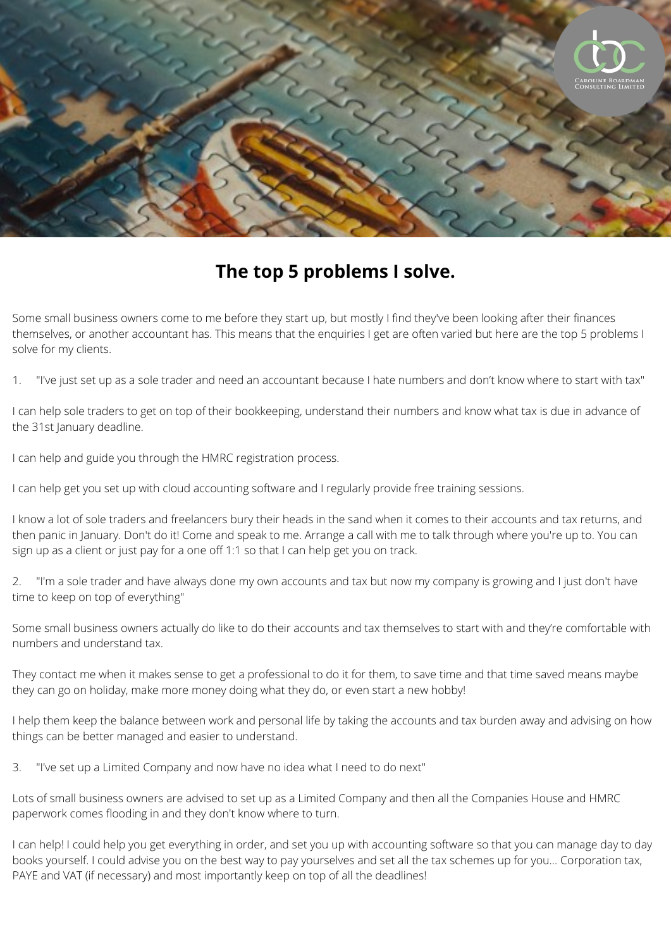

## **The top 5 problems I solve.**

Some small business owners come to me before they start up, but mostly I find they've been looking after their finances themselves, or another accountant has. This means that the enquiries I get are often varied but here are the top 5 problems I solve for my clients.

1. "I've just set up as a sole trader and need an accountant because I hate numbers and don't know where to start with tax"

I can help sole traders to get on top of their bookkeeping, understand their numbers and know what tax is due in advance of the 31st January deadline.

I can help and guide you through the HMRC registration process.

I can help get you set up with cloud accounting software and I regularly provide free training sessions.

I know a lot of sole traders and freelancers bury their heads in the sand when it comes to their accounts and tax returns, and then panic in January. Don't do it! Come and speak to me. Arrange a call with me to talk through where you're up to. You can sign up as a client or just pay for a one off 1:1 so that I can help get you on track.

2. "I'm a sole trader and have always done my own accounts and tax but now my company is growing and I just don't have time to keep on top of everything"

Some small business owners actually do like to do their accounts and tax themselves to start with and they're comfortable with numbers and understand tax.

They contact me when it makes sense to get a professional to do it for them, to save time and that time saved means maybe they can go on holiday, make more money doing what they do, or even start a new hobby!

I help them keep the balance between work and personal life by taking the accounts and tax burden away and advising on how things can be better managed and easier to understand.

3. "I've set up a Limited Company and now have no idea what I need to do next"

Lots of small business owners are advised to set up as a Limited Company and then all the Companies House and HMRC paperwork comes flooding in and they don't know where to turn.

I can help! I could help you get everything in order, and set you up with accounting software so that you can manage day to day books yourself. I could advise you on the best way to pay yourselves and set all the tax schemes up for you... Corporation tax, PAYE and VAT (if necessary) and most importantly keep on top of all the deadlines!